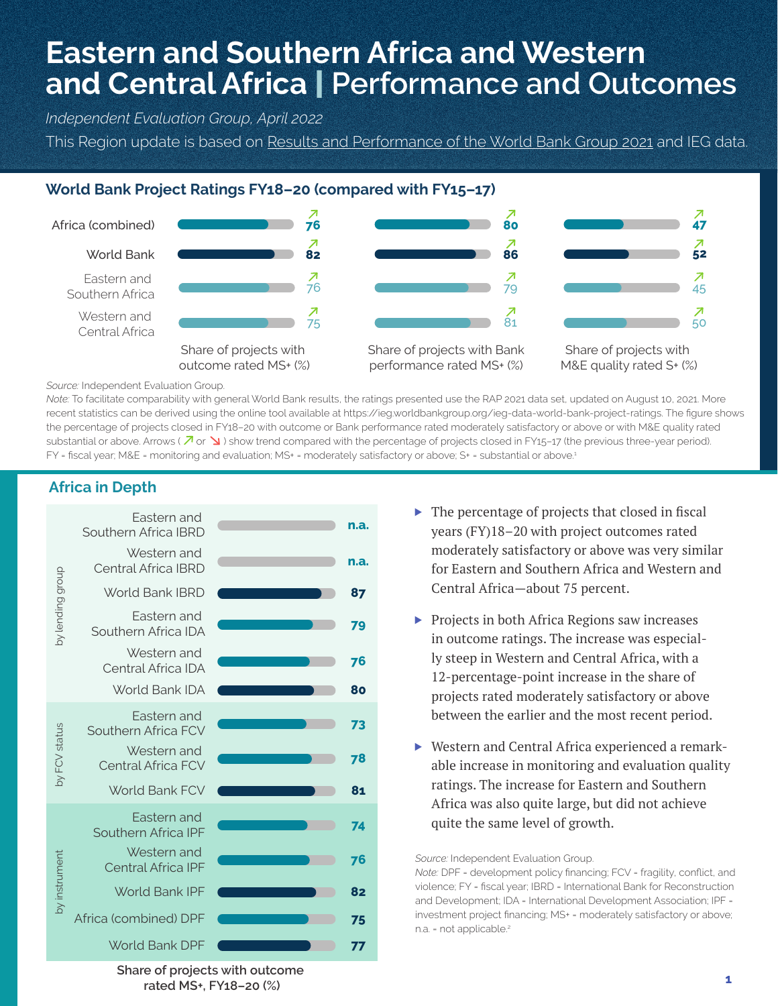# **Eastern and Southern Africa and Western and Central Africa** | **Performance and Outcomes**

*Independent Evaluation Group, April 2022*

This Region update is based on Results and Performance of the World Bank Group 2021 and IEG data.

# **World Bank Project Ratings FY18–20 (compared with FY15–17)**



*Source:* Independent Evaluation Group.

*Note:* To facilitate comparability with general World Bank results, the ratings presented use the RAP 2021 data set, updated on August 10, 2021. More recent statistics can be derived using the online tool available at https://ieg.worldbankgroup.org/ieg-data-world-bank-project-ratings. The figure shows the percentage of projects closed in FY18–20 with outcome or Bank performance rated moderately satisfactory or above or with M&E quality rated substantial or above. Arrows ( $\overline{\mathcal{A}}$  or  $\sum$ ) show trend compared with the percentage of projects closed in FY15-17 (the previous three-year period). FY = fiscal year; M&E = monitoring and evaluation; MS+ = moderately satisfactory or above; S+ = substantial or above.<sup>1</sup>

## **Africa in Depth**



- $\triangleright$  The percentage of projects that closed in fiscal years (FY)18–20 with project outcomes rated moderately satisfactory or above was very similar for Eastern and Southern Africa and Western and Central Africa—about 75 percent.
- ▶ Projects in both Africa Regions saw increases in outcome ratings. The increase was especially steep in Western and Central Africa, with a 12-percentage-point increase in the share of projects rated moderately satisfactory or above between the earlier and the most recent period.
- ▶ Western and Central Africa experienced a remarkable increase in monitoring and evaluation quality ratings. The increase for Eastern and Southern Africa was also quite large, but did not achieve quite the same level of growth.

*Source:* Independent Evaluation Group.

*Note:* DPF = development policy financing; FCV = fragility, conflict, and violence; FY = fiscal year; IBRD = International Bank for Reconstruction and Development; IDA = International Development Association; IPF = investment project financing; MS+ = moderately satisfactory or above; n.a. = not applicable.<sup>2</sup>

**Share of projects with outcome rated MS+, FY18–20 (%)**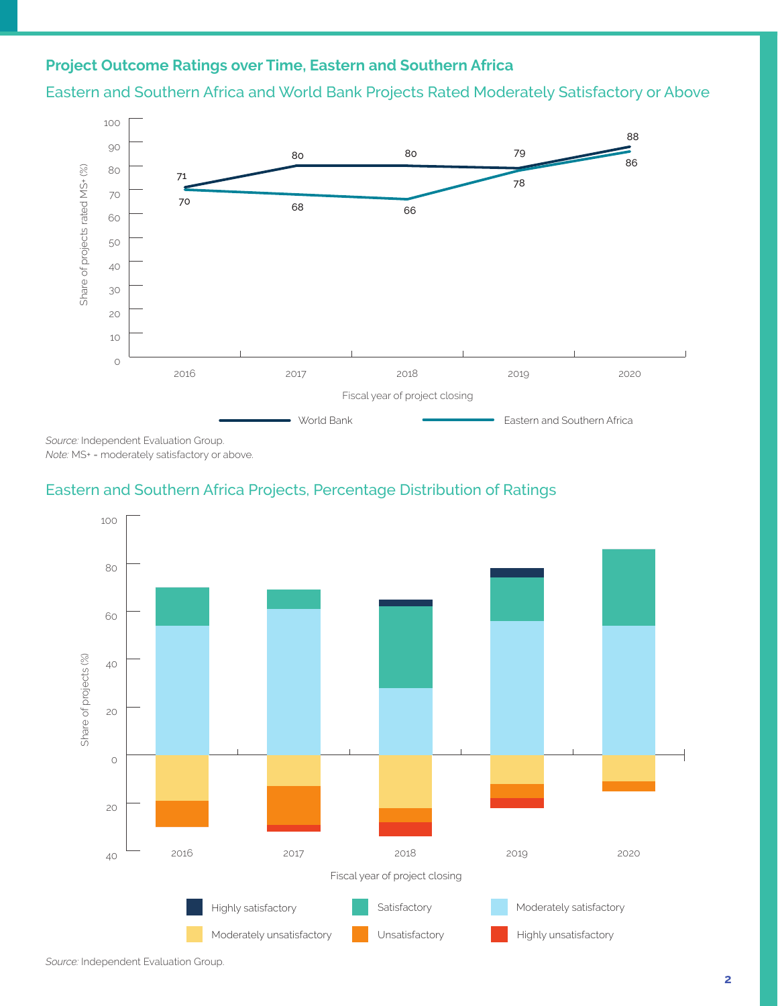# **Project Outcome Ratings over Time, Eastern and Southern Africa**

Eastern and Southern Africa and World Bank Projects Rated Moderately Satisfactory or Above



*Source:* Independent Evaluation Group. *Note:* MS+ = moderately satisfactory or above.

## Eastern and Southern Africa Projects, Percentage Distribution of Ratings

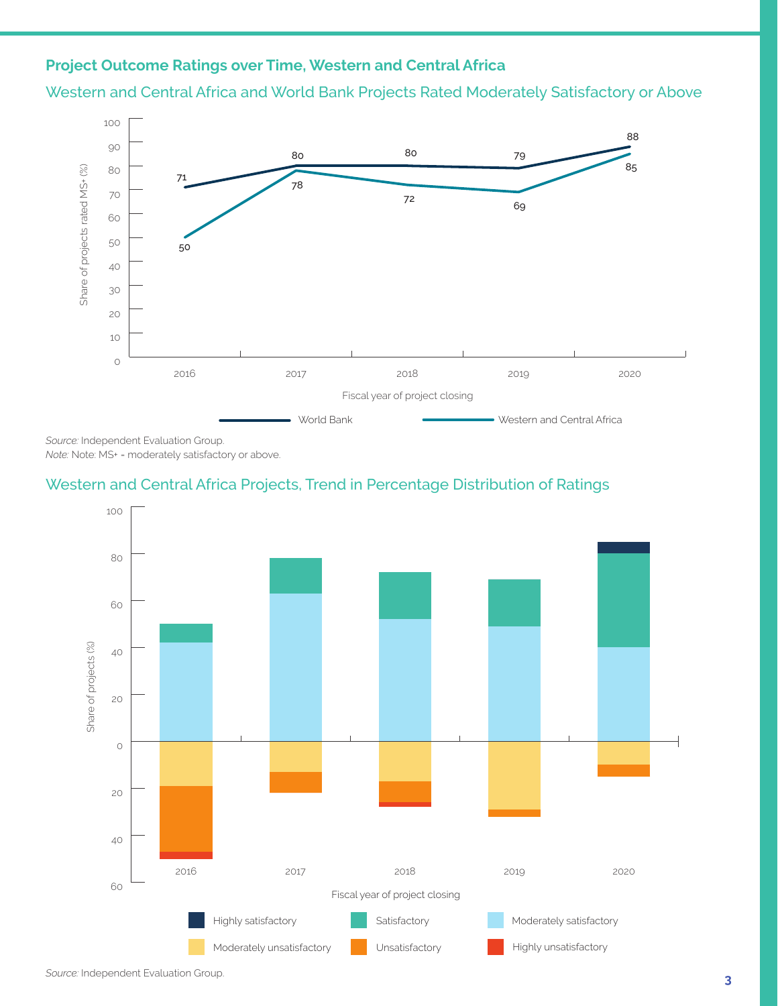# **Project Outcome Ratings over Time, Western and Central Africa**

Western and Central Africa and World Bank Projects Rated Moderately Satisfactory or Above



*Source:* Independent Evaluation Group. *Note:* Note: MS+ = moderately satisfactory or above.

# Western and Central Africa Projects, Trend in Percentage Distribution of Ratings



*Source:* Independent Evaluation Group.